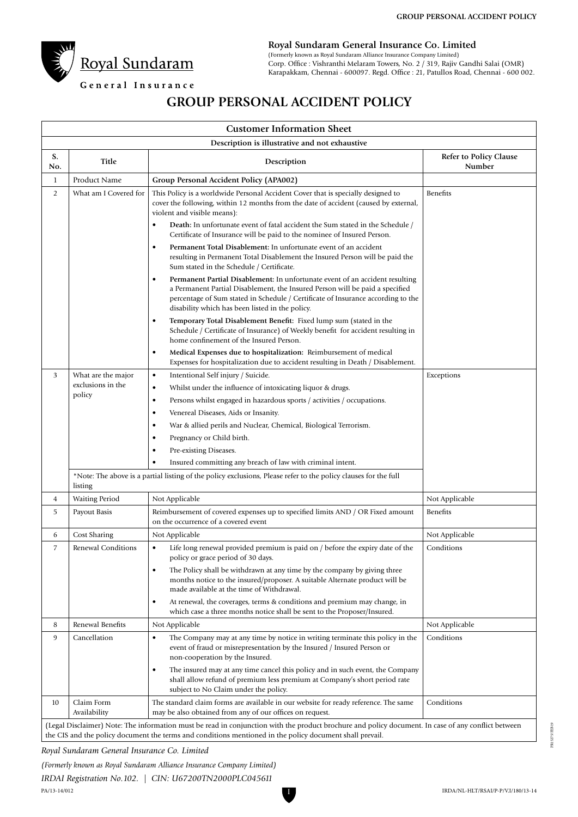

**Royal Sundaram General Insurance Co. Limited**

(Formerly known as Royal Sundaram Alliance Insurance Company Limited) Corp. Office : Vishranthi Melaram Towers, No. 2 / 319, Rajiv Gandhi Salai (OMR) Karapakkam, Chennai - 600097. Regd. Office : 21, Patullos Road, Chennai - 600 002.

# General Insurance

# **GROUP PERSONAL ACCIDENT POLICY**

| <b>Customer Information Sheet</b>              |                                                                                                                            |                                                                                                                                                                                                                                                                                                                                                                                   |                                  |  |  |  |
|------------------------------------------------|----------------------------------------------------------------------------------------------------------------------------|-----------------------------------------------------------------------------------------------------------------------------------------------------------------------------------------------------------------------------------------------------------------------------------------------------------------------------------------------------------------------------------|----------------------------------|--|--|--|
| Description is illustrative and not exhaustive |                                                                                                                            |                                                                                                                                                                                                                                                                                                                                                                                   |                                  |  |  |  |
| S.<br>No.                                      | Title                                                                                                                      | Description                                                                                                                                                                                                                                                                                                                                                                       | Refer to Policy Clause<br>Number |  |  |  |
| $\mathbf{1}$                                   | Product Name                                                                                                               | Group Personal Accident Policy (APA002)                                                                                                                                                                                                                                                                                                                                           |                                  |  |  |  |
| $\overline{2}$                                 | What am I Covered for                                                                                                      | This Policy is a worldwide Personal Accident Cover that is specially designed to<br>cover the following, within 12 months from the date of accident (caused by external,<br>violent and visible means):<br>Death: In unfortunate event of fatal accident the Sum stated in the Schedule /<br>$\bullet$<br>Certificate of Insurance will be paid to the nominee of Insured Person. | <b>Benefits</b>                  |  |  |  |
|                                                |                                                                                                                            | Permanent Total Disablement: In unfortunate event of an accident<br>$\bullet$<br>resulting in Permanent Total Disablement the Insured Person will be paid the<br>Sum stated in the Schedule / Certificate.                                                                                                                                                                        |                                  |  |  |  |
|                                                |                                                                                                                            | Permanent Partial Disablement: In unfortunate event of an accident resulting<br>$\bullet$<br>a Permanent Partial Disablement, the Insured Person will be paid a specified<br>percentage of Sum stated in Schedule / Certificate of Insurance according to the<br>disability which has been listed in the policy.                                                                  |                                  |  |  |  |
|                                                |                                                                                                                            | Temporary Total Disablement Benefit: Fixed lump sum (stated in the<br>$\bullet$<br>Schedule / Certificate of Insurance) of Weekly benefit for accident resulting in<br>home confinement of the Insured Person.                                                                                                                                                                    |                                  |  |  |  |
|                                                |                                                                                                                            | Medical Expenses due to hospitalization: Reimbursement of medical<br>$\bullet$<br>Expenses for hospitalization due to accident resulting in Death / Disablement.                                                                                                                                                                                                                  |                                  |  |  |  |
| 3                                              | What are the major<br>exclusions in the<br>policy                                                                          | Intentional Self injury / Suicide.<br>$\bullet$                                                                                                                                                                                                                                                                                                                                   | Exceptions                       |  |  |  |
|                                                |                                                                                                                            | Whilst under the influence of intoxicating liquor & drugs.<br>$\bullet$                                                                                                                                                                                                                                                                                                           |                                  |  |  |  |
|                                                |                                                                                                                            | Persons whilst engaged in hazardous sports / activities / occupations.<br>$\bullet$                                                                                                                                                                                                                                                                                               |                                  |  |  |  |
|                                                |                                                                                                                            | Venereal Diseases, Aids or Insanity.<br>$\bullet$                                                                                                                                                                                                                                                                                                                                 |                                  |  |  |  |
|                                                |                                                                                                                            | War & allied perils and Nuclear, Chemical, Biological Terrorism.<br>$\bullet$                                                                                                                                                                                                                                                                                                     |                                  |  |  |  |
|                                                |                                                                                                                            | Pregnancy or Child birth.<br>$\bullet$                                                                                                                                                                                                                                                                                                                                            |                                  |  |  |  |
|                                                |                                                                                                                            | Pre-existing Diseases.<br>$\bullet$                                                                                                                                                                                                                                                                                                                                               |                                  |  |  |  |
|                                                |                                                                                                                            | Insured committing any breach of law with criminal intent.<br>$\bullet$                                                                                                                                                                                                                                                                                                           |                                  |  |  |  |
|                                                | *Note: The above is a partial listing of the policy exclusions, Please refer to the policy clauses for the full<br>listing |                                                                                                                                                                                                                                                                                                                                                                                   |                                  |  |  |  |
| 4                                              | <b>Waiting Period</b>                                                                                                      | Not Applicable                                                                                                                                                                                                                                                                                                                                                                    | Not Applicable                   |  |  |  |
| 5                                              | Payout Basis                                                                                                               | Reimbursement of covered expenses up to specified limits AND / OR Fixed amount<br>on the occurrence of a covered event                                                                                                                                                                                                                                                            | Benefits                         |  |  |  |
| 6                                              | Cost Sharing                                                                                                               | Not Applicable                                                                                                                                                                                                                                                                                                                                                                    | Not Applicable                   |  |  |  |
| 7                                              | Renewal Conditions                                                                                                         | Life long renewal provided premium is paid on / before the expiry date of the<br>$\bullet$<br>policy or grace period of 30 days.                                                                                                                                                                                                                                                  | Conditions                       |  |  |  |
|                                                |                                                                                                                            | The Policy shall be withdrawn at any time by the company by giving three<br>$\bullet$<br>months notice to the insured/proposer. A suitable Alternate product will be<br>made available at the time of Withdrawal.                                                                                                                                                                 |                                  |  |  |  |
|                                                |                                                                                                                            | At renewal, the coverages, terms & conditions and premium may change, in<br>$\bullet$<br>which case a three months notice shall be sent to the Proposer/Insured.                                                                                                                                                                                                                  |                                  |  |  |  |
| 8                                              | Renewal Benefits                                                                                                           | Not Applicable                                                                                                                                                                                                                                                                                                                                                                    | Not Applicable                   |  |  |  |
| 9                                              | Cancellation                                                                                                               | The Company may at any time by notice in writing terminate this policy in the<br>$\bullet$<br>event of fraud or misrepresentation by the Insured / Insured Person or<br>non-cooperation by the Insured.                                                                                                                                                                           | Conditions                       |  |  |  |
|                                                |                                                                                                                            | The insured may at any time cancel this policy and in such event, the Company<br>$\bullet$<br>shall allow refund of premium less premium at Company's short period rate<br>subject to No Claim under the policy.                                                                                                                                                                  |                                  |  |  |  |
| 10                                             | Claim Form<br>Availability                                                                                                 | The standard claim forms are available in our website for ready reference. The same<br>may be also obtained from any of our offices on request.                                                                                                                                                                                                                                   | Conditions                       |  |  |  |
|                                                |                                                                                                                            | (Legal Disclaimer) Note: The information must be read in conjunction with the product brochure and policy document. In case of any conflict between<br>the CIS and the policy document the terms and conditions mentioned in the policy document shall prevail.                                                                                                                   |                                  |  |  |  |

I

*Royal Sundaram General Insurance Co. Limited* 

*(Formerly known as Royal Sundaram Alliance Insurance Company Limited)*

*IRDAI Registration No.102. | CIN: U67200TN2000PLC045611*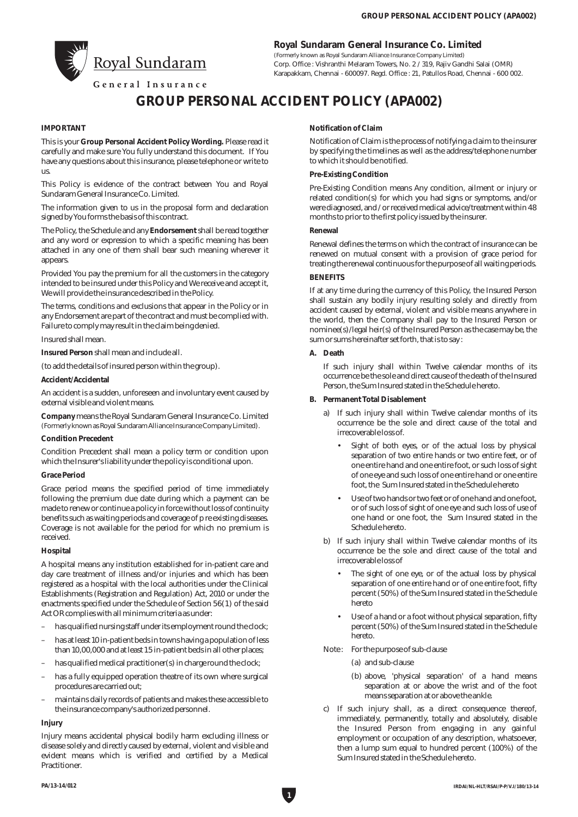

**Royal Sundaram General Insurance Co. Limited**

(Formerly known as Royal Sundaram Alliance Insurance Company Limited) Corp. Office : Vishranthi Melaram Towers, No. 2 / 319, Rajiv Gandhi Salai (OMR) Karapakkam, Chennai - 600097. Regd. Office : 21, Patullos Road, Chennai - 600 002.

General Insurance

# **GROUP PERSONAL ACCIDENT POLICY (APA002)**

# **IMPORTANT**

This is your **Group Personal Accident Policy Wording.** Please read it carefully and make sure You fully understand this document. If You have any questions about this insurance, please telephone or write to us.

This Policy is evidence of the contract between You and Royal Sundaram General Insurance Co. Limited.

The information given to us in the proposal form and declaration signed by You forms the basis of this contract.

The Policy, the Schedule and any **Endorsement**shall be read together and any word or expression to which a specific meaning has been attached in any one of them shall bear such meaning wherever it appears.

Provided You pay the premium for all the customers in the category intended to be insured under this Policy and We receive and accept it, We will provide the insurance described in the Policy.

The terms, conditions and exclusions that appear in the Policy or in any Endorsement are part of the contract and must be complied with. Failure to comply may result in the claim being denied.

Insured shall mean.

**Insured Person** shall mean and include all.

(to add the details of insured person within the group).

#### **Accident/Accidental**

An accident is a sudden, unforeseen and involuntary event caused by external visible and violent means.

**Company** means the Royal Sundaram General Insurance Co. Limited (Formerly known as Royal Sundaram Alliance Insurance Company Limited).

#### **Condition Precedent**

Condition Precedent shall mean a policy term or condition upon which the Insurer's liability under the policy is conditional upon.

#### **Grace Period**

Grace period means the specified period of time immediately following the premium due date during which a payment can be made to renew or continue a policy in force without loss of continuity benefits such as waiting periods and coverage of p re existing diseases. Coverage is not available for the period for which no premium is received.

#### **Hospital**

A hospital means any institution established for in-patient care and day care treatment of illness and/or injuries and which has been registered as a hospital with the local authorities under the Clinical Establishments (Registration and Regulation) Act, 2010 or under the enactments specified under the Schedule of Section 56(1) of the said Act OR complies with all minimum criteria as under:

- has qualified nursing staff under its employment round the clock;
- has at least 10 in-patient beds in towns having a population of less than 10,00,000 and at least 15 in-patient beds in all other places;
- has qualified medical practitioner(s) in charge round the clock;
- has a fully equipped operation theatre of its own where surgical procedures are carried out;
- maintains daily records of patients and makes these accessible to the insurance company's authorized personnel.

#### **Injury**

Injury means accidental physical bodily harm excluding illness or disease solely and directly caused by external, violent and visible and evident means which is verified and certified by a Medical Practitioner.

# **Notification of Claim**

Notification of Claim is the process of notifying a claim to the insurer by specifying the timelines as well as the address/telephone number to which it should be notified.

## **Pre-Existing Condition**

Pre-Existing Condition means Any condition, ailment or injury or related condition(s) for which you had signs or symptoms, and/or were diagnosed, and / or received medical advice/treatment within 48 months to prior to the first policy issued by the insurer.

# **Renewal**

Renewal defines the terms on which the contract of insurance can be renewed on mutual consent with a provision of grace period for treating the renewal continuous for the purpose of all waiting periods.

# **BENEFITS**

If at any time during the currency of this Policy, the Insured Person shall sustain any bodily injury resulting solely and directly from accident caused by external, violent and visible means anywhere in the world, then the Company shall pay to the Insured Person or nominee(s)/legal heir(s) of the Insured Person as the case may be, the sum or sums hereinafter set forth, that is to say :

#### **A. Death**

If such injury shall within Twelve calendar months of its occurrence be the sole and direct cause of the death of the Insured Person, the Sum Insured stated in the Schedule hereto.

- **B. Permanent Total Disablement**
	- a) If such injury shall within Twelve calendar months of its occurrence be the sole and direct cause of the total and irrecoverable loss of.
		- Sight of both eyes, or of the actual loss by physical separation of two entire hands or two entire feet, or of one entire hand and one entire foot, or such loss of sight of one eye and such loss of one entire hand or one entire foot, the Sum Insured stated in the Schedule hereto
		- Use of two hands or two feet or of one hand and one foot, or of such loss of sight of one eye and such loss of use of one hand or one foot, the Sum Insured stated in the Schedule hereto.
	- b) If such injury shall within Twelve calendar months of its occurrence be the sole and direct cause of the total and irrecoverable loss of
		- The sight of one eye, or of the actual loss by physical separation of one entire hand or of one entire foot, fifty percent (50%) of the Sum Insured stated in the Schedule hereto
		- Use of a hand or a foot without physical separation, fifty percent (50%) of the Sum Insured stated in the Schedule hereto.
	- Note : For the purpose of sub-clause
		- (a) and sub-clause
		- (b) above, 'physical separation' of a hand means separation at or above the wrist and of the foot means separation at or above the ankle.
	- c) If such injury shall, as a direct consequence thereof, immediately, permanently, totally and absolutely, disable the Insured Person from engaging in any gainful employment or occupation of any description, whatsoever, then a lump sum equal to hundred percent (100%) of the Sum Insured stated in the Schedule hereto.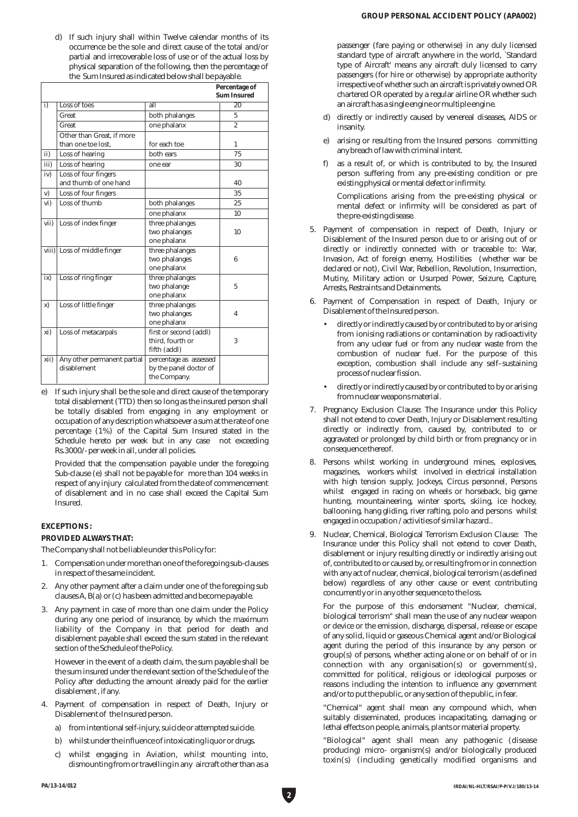d) If such injury shall within Twelve calendar months of its occurrence be the sole and direct cause of the total and/or partial and irrecoverable loss of use or of the actual loss by physical separation of the following, then the percentage of the Sum Insured as indicated below shall be payable.

|      |                                                 |                                                                  | Percentage of<br>Sum Insured |
|------|-------------------------------------------------|------------------------------------------------------------------|------------------------------|
| i)   | Loss of toes                                    | $\overline{\mathsf{all}}$                                        | $\overline{20}$              |
|      | Great                                           | both phalanges                                                   | 5                            |
|      | Great                                           | one phalanx                                                      | $\overline{2}$               |
|      | Other than Great, if more<br>than one toe lost. | for each toe                                                     | 1                            |
| ii)  | Loss of hearing                                 | both ears                                                        | 75                           |
| iii) | Loss of hearing                                 | one ear                                                          | 30                           |
| iv)  | Loss of four fingers<br>and thumb of one hand   |                                                                  | 40                           |
| v)   | Loss of four fingers                            |                                                                  | 35                           |
| vi)  | Loss of thumb                                   | both phalanges                                                   | 25                           |
|      |                                                 | one phalanx                                                      | 10                           |
| vii) | Loss of index finger                            | three phalanges<br>two phalanges<br>one phalanx                  | 10                           |
|      | viii) Loss of middle finger                     | three phalanges<br>two phalanges<br>one phalanx                  | 6                            |
| ix)  | Loss of ring finger                             | three phalanges<br>two phalange<br>one phalanx                   | 5                            |
| x)   | Loss of little finger                           | three phalanges<br>two phalanges<br>one phalanx                  | 4                            |
| xi)  | Loss of metacarpals                             | first or second (addl)<br>third. fourth or<br>fifth (addl)       | 3                            |
| xii) | Any other permanent partial<br>disablement      | percentage as assessed<br>by the panel doctor of<br>the Company. |                              |

e) If such injury shall be the sole and direct cause of the temporary total disablement (TTD) then so long as the insured person shall be totally disabled from engaging in any employment or occupation of any description whatsoever a sum at the rate of one percentage (1%) of the Capital Sum Insured stated in the Schedule hereto per week but in any case not exceeding Rs.3000/- per week in all, under all policies.

Provided that the compensation payable under the foregoing Sub-clause (e) shall not be payable for more than 104 weeks in respect of any injury calculated from the date of commencement of disablement and in no case shall exceed the Capital Sum Insured.

# **EXCEPTIONS :**

# **PROVIDED ALWAYS THAT:**

The Company shall not be liable under this Policy for:

- 1. Compensation under more than one of the foregoing sub-clauses in respect of the same incident.
- 2. Any other payment after a claim under one of the foregoing sub clauses A, B(a) or (c) has been admitted and become payable.
- 3. Any payment in case of more than one claim under the Policy during any one period of insurance, by which the maximum liability of the Company in that period for death and disablement payable shall exceed the sum stated in the relevant section of the Schedule of the Policy.

However in the event of a death claim, the sum payable shall be the sum insured under the relevant section of the Schedule of the Policy after deducting the amount already paid for the earlier disablement , if any.

- 4. Payment of compensation in respect of Death, Injury or Disablement of the Insured person.
	- a) from intentional self-injury, suicide or attempted suicide.
	- b) whilst under the influence of intoxicating liquor or drugs.
	- c) whilst engaging in Aviation, whilst mounting into, dismounting from or travelling in any aircraft other than as a

passenger (fare paying or otherwise) in any duly licensed standard type of aircraft anywhere in the world, `Standard type of Aircraft' means any aircraft duly licensed to carry passengers (for hire or otherwise) by appropriate authority irrespective of whether such an aircraft is privately owned OR chartered OR operated by a regular airline OR whether such an aircraft has a single engine or multiple engine.

- d) directly or indirectly caused by venereal diseases, AIDS or insanity.
- e) arising or resulting from the Insured persons committing any breach of law with criminal intent.
- f) as a result of, or which is contributed to by, the Insured person suffering from any pre-existing condition or pre existing physical or mental defect or infirmity.

Complications arising from the pre-existing physical or mental defect or infirmity will be considered as part of the pre-existing disease.

- 5. Payment of compensation in respect of Death, Injury or Disablement of the Insured person due to or arising out of or directly or indirectly connected with or traceable to: War, Invasion, Act of foreign enemy, Hostilities (whether war be declared or not), Civil War, Rebellion, Revolution, Insurrection, Mutiny, Military action or Usurped Power, Seizure, Capture, Arrests, Restraints and Detainments.
- 6. Payment of Compensation in respect of Death, Injury or Disablement of the Insured person.
	- directly or indirectly caused by or contributed to by or arising from ionising radiations or contamination by radioactivity from any uclear fuel or from any nuclear waste from the combustion of nuclear fuel. For the purpose of this exception, combustion shall include any self–sustaining process of nuclear fission.
	- directly or indirectly caused by or contributed to by or arising from nuclear weapons material.
- 7. Pregnancy Exclusion Clause: The Insurance under this Policy shall not extend to cover Death, Injury or Disablement resulting directly or indirectly from, caused by, contributed to or aggravated or prolonged by child birth or from pregnancy or in consequence thereof.
- 8. Persons whilst working in underground mines, explosives, magazines, workers whilst involved in electrical installation with high tension supply, Jockeys, Circus personnel, Persons whilst engaged in racing on wheels or horseback, big game hunting, mountaineering, winter sports, skiing, ice hockey, ballooning, hang gliding, river rafting, polo and persons whilst engaged in occupation / activities of similar hazard..
- 9. Nuclear, Chemical, Biological Terrorism Exclusion Clause: The Insurance under this Policy shall not extend to cover Death, disablement or injury resulting directly or indirectly arising out of, contributed to or caused by, or resulting from or in connection with any act of nuclear, chemical, biological terrorism (as defined below) regardless of any other cause or event contributing concurrently or in any other sequence to the loss.

For the purpose of this endorsement "Nuclear, chemical, biological terrorism" shall mean the use of any nuclear weapon or device or the emission, discharge, dispersal, release or escape of any solid, liquid or gaseous Chemical agent and/or Biological agent during the period of this insurance by any person or group(s) of persons, whether acting alone or on behalf of or in  $\overline{\text{connection}}$  with any organisation(s) or government(s), committed for political, religious or ideological purposes or reasons including the intention to influence any government and/or to put the public, or any section of the public, in fear.

"Chemical" agent shall mean any compound which, when suitably disseminated, produces incapacitating, damaging or lethal effects on people, animals, plants or material property.

"Biological" agent shall mean any pathogenic (disease producing) micro- organism(s) and/or biologically produced toxin(s) (including genetically modified organisms and

**2**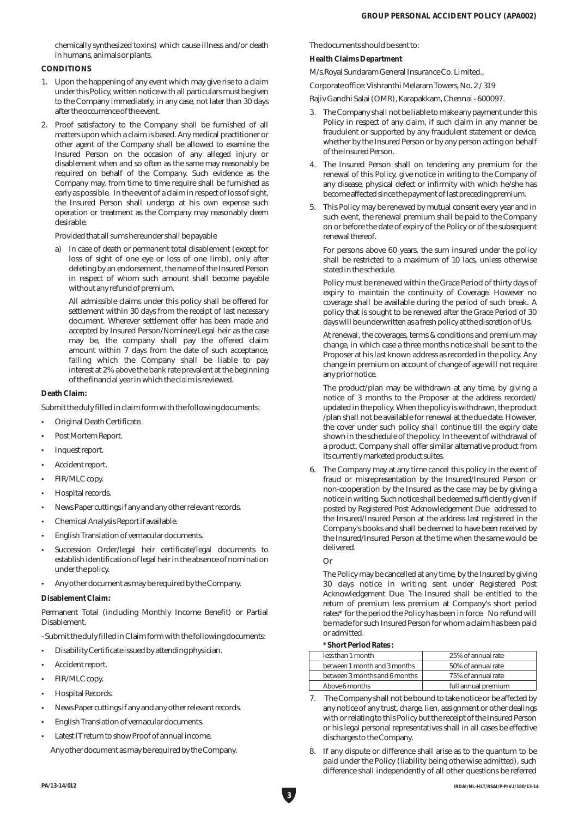chemically synthesized toxins) which cause illness and/or death in humans, animals or plants.

# **CONDITIONS**

- 1. Upon the happening of any event which may give rise to a claim under this Policy, written notice with all particulars must be given to the Company immediately, in any case, not later than 30 days after the occurrence of the event.
- 2. Proof satisfactory to the Company shall be furnished of all matters upon which a claim is based. Any medical practitioner or other agent of the Company shall be allowed to examine the Insured Person on the occasion of any alleged injury or disablement when and so often as the same may reasonably be required on behalf of the Company. Such evidence as the Company may, from time to time require shall be furnished as early as possible. In the event of a claim in respect of loss of sight, the Insured Person shall undergo at his own expense such operation or treatment as the Company may reasonably deem desirable.

Provided that all sums hereunder shall be payable

a) In case of death or permanent total disablement (except for loss of sight of one eye or loss of one limb), only after deleting by an endorsement, the name of the Insured Person in respect of whom such amount shall become payable without any refund of premium.

All admissible claims under this policy shall be offered for settlement within 30 days from the receipt of last necessary document. Wherever settlement offer has been made and accepted by Insured Person/Nominee/Legal heir as the case may be, the company shall pay the offered claim amount within 7 days from the date of such acceptance, failing which the Company shall be liable to pay interest at 2% above the bank rate prevalent at the beginning of the financial year in which the claim is reviewed.

**Death Claim:**

Submit the duly filled in claim form with the following documents:

- Original Death Certificate.
- Post Mortem Report.
- Inquest report.
- Accident report.
- FIR/MLC copy.
- Hospital records.
- News Paper cuttings if any and any other relevant records.
- Chemical Analysis Report if available.
- English Translation of vernacular documents.
- Succession Order/legal heir certificate/legal documents to establish identification of legal heir in the absence of nomination under the policy.
- Any other document as may be required by the Company.

**Disablement Claim:**

Permanent Total (including Monthly Income Benefit) or Partial Disablement.

- Submit the duly filled in Claim form with the following documents:

- Disability Certificate issued by attending physician.
- Accident report.
- FIR/MLC copy.
- Hospital Records.
- News Paper cuttings if any and any other relevant records.
- English Translation of vernacular documents.
- Latest IT return to show Proof of annual income.

Any other document as may be required by the Company.

The documents should be sent to:

#### **Health Claims Department**

M/s.Royal Sundaram General Insurance Co. Limited.,

Corporate office: Vishranthi Melaram Towers, No. 2 / 319

Rajiv Gandhi Salai (OMR), Karapakkam, Chennai - 600097.

- 3. The Company shall not be liable to make any payment under this Policy in respect of any claim, if such claim in any manner be fraudulent or supported by any fraudulent statement or device, whether by the Insured Person or by any person acting on behalf of the Insured Person.
- 4. The Insured Person shall on tendering any premium for the renewal of this Policy, give notice in writing to the Company of any disease, physical defect or infirmity with which he/she has become affected since the payment of last preceding premium.
- 5. This Policy may be renewed by mutual consent every year and in such event, the renewal premium shall be paid to the Company on or before the date of expiry of the Policy or of the subsequent renewal thereof.

For persons above 60 years, the sum insured under the policy shall be restricted to a maximum of 10 lacs, unless otherwise stated in the schedule.

Policy must be renewed within the Grace Period of thirty days of expiry to maintain the continuity of Coverage. However no coverage shall be available during the period of such break. A policy that is sought to be renewed after the Grace Period of 30 days will be underwritten as a fresh policy at the discretion of Us.

At renewal, the coverages, terms & conditions and premium may change, in which case a three months notice shall be sent to the Proposer at his last known address as recorded in the policy. Any change in premium on account of change of age will not require any prior notice.

The product/plan may be withdrawn at any time, by giving a notice of 3 months to the Proposer at the address recorded/ updated in the policy. When the policy is withdrawn, the product /plan shall not be available for renewal at the due date. However, the cover under such policy shall continue till the expiry date shown in the schedule of the policy. In the event of withdrawal of a product, Company shall offer similar alternative product from its currently marketed product suites.

6. The Company may at any time cancel this policy in the event of fraud or misrepresentation by the Insured/Insured Person or non-cooperation by the Insured as the case may be by giving a notice in writing. Such notice shall be deemed sufficiently given if posted by Registered Post Acknowledgement Due addressed to the Insured/Insured Person at the address last registered in the Company's books and shall be deemed to have been received by the Insured/Insured Person at the time when the same would be delivered.

Or

The Policy may be cancelled at any time, by the Insured by giving 30 days notice in writing sent under Registered Post Acknowledgement Due. The Insured shall be entitled to the return of premium less premium at Company's short period rates\* for the period the Policy has been in force. No refund will be made for such Insured Person for whom a claim has been paid or admitted.

**\*Short Period Rates :**

| less than 1 month             | 25% of annual rate  |  |
|-------------------------------|---------------------|--|
| between 1 month and 3 months  | 50% of annual rate  |  |
| between 3 months and 6 months | 75% of annual rate  |  |
| Above 6 months                | full annual premium |  |

- 7. The Company shall not be bound to take notice or be affected by any notice of any trust, charge, lien, assignment or other dealings with or relating to this Policy but the receipt of the Insured Person or his legal personal representatives shall in all cases be effective discharges to the Company.
- 8. If any dispute or difference shall arise as to the quantum to be paid under the Policy (liability being otherwise admitted), such difference shall independently of all other questions be referred

**3**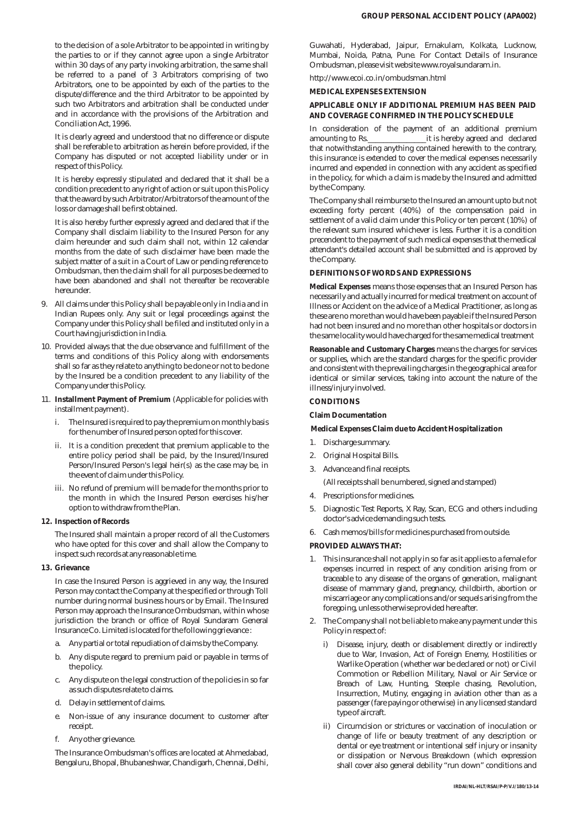to the decision of a sole Arbitrator to be appointed in writing by the parties to or if they cannot agree upon a single Arbitrator within 30 days of any party invoking arbitration, the same shall be referred to a panel of 3 Arbitrators comprising of two Arbitrators, one to be appointed by each of the parties to the dispute/difference and the third Arbitrator to be appointed by such two Arbitrators and arbitration shall be conducted under and in accordance with the provisions of the Arbitration and Conciliation Act, 1996.

It is clearly agreed and understood that no difference or dispute shall be referable to arbitration as herein before provided, if the Company has disputed or not accepted liability under or in respect of this Policy.

It is hereby expressly stipulated and declared that it shall be a condition precedent to any right of action or suit upon this Policy that the award by such Arbitrator/Arbitrators of the amount of the loss or damage shall be first obtained.

It is also hereby further expressly agreed and declared that if the Company shall disclaim liability to the Insured Person for any claim hereunder and such claim shall not, within 12 calendar months from the date of such disclaimer have been made the subject matter of a suit in a Court of Law or pending reference to Ombudsman, then the claim shall for all purposes be deemed to have been abandoned and shall not thereafter be recoverable hereunder.

- 9. All claims under this Policy shall be payable only in India and in Indian Rupees only. Any suit or legal proceedings against the Company under this Policy shall be filed and instituted only in a Court having jurisdiction in India.
- 10. Provided always that the due observance and fulfillment of the terms and conditions of this Policy along with endorsements shall so far as they relate to anything to be done or not to be done by the Insured be a condition precedent to any liability of the Company under this Policy.
- 11. **Installment Payment of Premium** (Applicable for policies with installment payment).
	- i. The Insured is required to pay the premium on monthly basis for the number of Insured person opted for this cover.
	- ii. It is a condition precedent that premium applicable to the entire policy period shall be paid, by the Insured/Insured Person/Insured Person's legal heir(s) as the case may be, in the event of claim under this Policy.
	- iii. No refund of premium will be made for the months prior to the month in which the Insured Person exercises his/her option to withdraw from the Plan.
- **12. Inspection of Records**

The Insured shall maintain a proper record of all the Customers who have opted for this cover and shall allow the Company to inspect such records at any reasonable time.

**13. Grievance**

In case the Insured Person is aggrieved in any way, the Insured Person may contact the Company at the specified or through Toll number during normal business hours or by Email. The Insured Person may approach the Insurance Ombudsman, within whose jurisdiction the branch or office of Royal Sundaram General Insurance Co. Limited is located for the following grievance :

- a. Any partial or total repudiation of claims by the Company.
- b. Any dispute regard to premium paid or payable in terms of the policy.
- c. Any dispute on the legal construction of the policies in so far as such disputes relate to claims.
- d. Delay in settlement of claims.
- e. Non-issue of any insurance document to customer after receipt.
- f. Any other grievance.

The Insurance Ombudsman's offices are located at Ahmedabad, Bengaluru, Bhopal, Bhubaneshwar, Chandigarh, Chennai, Delhi, Guwahati, Hyderabad, Jaipur, Ernakulam, Kolkata, Lucknow, Mumbai, Noida, Patna, Pune. For Contact Details of Insurance Ombudsman, please visit website www.royalsundaram.in.

http://www.ecoi.co.in/ombudsman.html

# **MEDICAL EXPENSES EXTENSION**

# **APPLICABLE ONLY IF ADDITIONAL PREMIUM HAS BEEN PAID AND COVERAGE CONFIRMED IN THE POLICY SCHEDULE**

In consideration of the payment of an additional premium amounting to Rs.\_\_\_\_\_\_\_\_\_\_\_\_\_\_\_it is hereby agreed and declared that notwithstanding anything contained herewith to the contrary, this insurance is extended to cover the medical expenses necessarily incurred and expended in connection with any accident as specified in the policy, for which a claim is made by the Insured and admitted by the Company.

The Company shall reimburse to the Insured an amount upto but not exceeding forty percent (40%) of the compensation paid in settlement of a valid claim under this Policy or ten percent (10%) of the relevant sum insured whichever is less. Further it is a condition precendent to the payment of such medical expenses that the medical attendant's detailed account shall be submitted and is approved by the Company.

# **DEFINITIONS OF WORDS AND EXPRESSIONS**

**Medical Expenses** means those expenses that an Insured Person has necessarily and actually incurred for medical treatment on account of Illness or Accident on the advice of a Medical Practitioner, as long as these are no more than would have been payable if the Insured Person had not been insured and no more than other hospitals or doctors in the same locality would have charged for the same medical treatment

**Reasonable and Customary Charges** means the charges for services or supplies, which are the standard charges for the specific provider and consistent with the prevailing charges in the geographical area for identical or similar services, taking into account the nature of the illness/injury involved.

# **CONDITIONS**

**Claim Documentation** 

**Medical Expenses Claim due to Accident Hospitalization** 

- 1. Discharge summary.
- 2. Original Hospital Bills.
- 3. Advance and final receipts.

(All receipts shall be numbered, signed and stamped)

- 4. Prescriptions for medicines.
- 5. Diagnostic Test Reports, X Ray, Scan, ECG and others including doctor's advice demanding such tests.
- 6. Cash memos/bills for medicines purchased from outside.

# **PROVIDED ALWAYS THAT:**

- 1. This insurance shall not apply in so far as it applies to a female for expenses incurred in respect of any condition arising from or traceable to any disease of the organs of generation, malignant disease of mammary gland, pregnancy, childbirth, abortion or miscarriage or any complications and/or sequels arising from the foregoing, unless otherwise provided here after.
- 2. The Company shall not be liable to make any payment under this Policy in respect of:
	- i) Disease, injury, death or disablement directly or indirectly due to War, Invasion, Act of Foreign Enemy, Hostilities or Warlike Operation (whether war be declared or not) or Civil Commotion or Rebellion Military, Naval or Air Service or Breach of Law, Hunting, Steeple chasing, Revolution, Insurrection, Mutiny, engaging in aviation other than as a passenger (fare paying or otherwise) in any licensed standard type of aircraft.
	- ii) Circumcision or strictures or vaccination of inoculation or change of life or beauty treatment of any description or dental or eye treatment or intentional self injury or insanity or dissipation or Nervous Breakdown (which expression shall cover also general debility "run down" conditions and